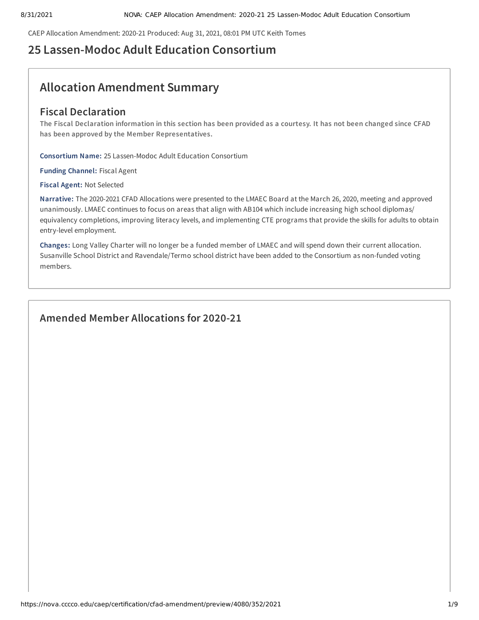CAEP Allocation Amendment: 2020-21 Produced: Aug 31, 2021, 08:01 PM UTC Keith Tomes

# **25 Lassen-Modoc Adult Education Consortium**

# **Allocation Amendment Summary**

# **Fiscal Declaration**

The Fiscal Declaration information in this section has been provided as a courtesy. It has not been changed since CFAD **has been approved by the Member Representatives.**

**Consortium Name:** 25 Lassen-Modoc Adult Education Consortium

**Funding Channel:** Fiscal Agent

**Fiscal Agent:** Not Selected

**Narrative:** The 2020-2021 CFAD Allocations were presented to the LMAEC Board at the March 26, 2020, meeting and approved unanimously. LMAEC continues to focus on areas that align with AB104 which include increasing high school diplomas/ equivalency completions, improving literacy levels, and implementing CTE programs that provide the skills for adults to obtain entry-level employment.

**Changes:** Long Valley Charter will no longer be a funded member of LMAEC and will spend down their current allocation. Susanville School District and Ravendale/Termo school district have been added to the Consortium as non-funded voting members.

# **Amended Member Allocations for 2020-21**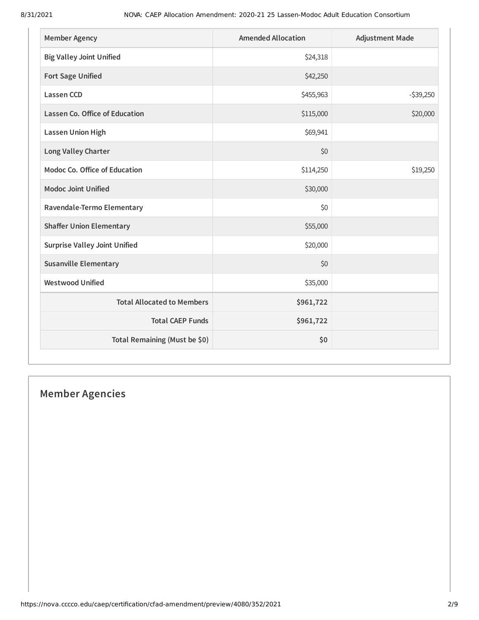| <b>Member Agency</b>                 | <b>Amended Allocation</b> | <b>Adjustment Made</b> |
|--------------------------------------|---------------------------|------------------------|
| <b>Big Valley Joint Unified</b>      | \$24,318                  |                        |
| <b>Fort Sage Unified</b>             | \$42,250                  |                        |
| <b>Lassen CCD</b>                    | \$455,963                 | $-539,250$             |
| Lassen Co. Office of Education       | \$115,000                 | \$20,000               |
| <b>Lassen Union High</b>             | \$69,941                  |                        |
| Long Valley Charter                  | \$0                       |                        |
| Modoc Co. Office of Education        | \$114,250                 | \$19,250               |
| <b>Modoc Joint Unified</b>           | \$30,000                  |                        |
| Ravendale-Termo Elementary           | \$0                       |                        |
| <b>Shaffer Union Elementary</b>      | \$55,000                  |                        |
| <b>Surprise Valley Joint Unified</b> | \$20,000                  |                        |
| <b>Susanville Elementary</b>         | \$0                       |                        |
| <b>Westwood Unified</b>              | \$35,000                  |                        |
| <b>Total Allocated to Members</b>    | \$961,722                 |                        |
| <b>Total CAEP Funds</b>              | \$961,722                 |                        |
| Total Remaining (Must be \$0)        | \$0                       |                        |

# **Member Agencies**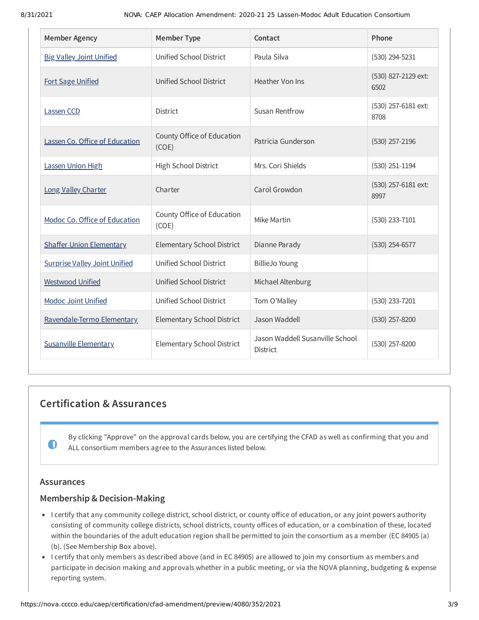| <b>Member Agency</b>                 | <b>Member Type</b>                  | Contact                                     | Phone                       |
|--------------------------------------|-------------------------------------|---------------------------------------------|-----------------------------|
| <b>Big Valley Joint Unified</b>      | Unified School District             | Paula Silva                                 | $(530)$ 294-5231            |
| <b>Fort Sage Unified</b>             | <b>Unified School District</b>      | Heather Von Ins                             | (530) 827-2129 ext:<br>6502 |
| Lassen CCD                           | <b>District</b>                     | Susan Rentfrow                              | (530) 257-6181 ext:<br>8708 |
| Lassen Co. Office of Education       | County Office of Education<br>(COE) | Patricia Gunderson                          | $(530)$ 257-2196            |
| Lassen Union High                    | High School District                | Mrs. Cori Shields                           | $(530)$ 251-1194            |
| Long Valley Charter                  | Charter                             | Carol Growdon                               | (530) 257-6181 ext:<br>8997 |
| Modoc Co. Office of Education        | County Office of Education<br>(COE) | Mike Martin                                 | (530) 233-7101              |
| <b>Shaffer Union Elementary</b>      | <b>Elementary School District</b>   | Dianne Parady                               | $(530)$ 254-6577            |
| <b>Surprise Valley Joint Unified</b> | Unified School District             | <b>BillieJo Young</b>                       |                             |
| <b>Westwood Unified</b>              | Unified School District             | Michael Altenburg                           |                             |
| <b>Modoc Joint Unified</b>           | Unified School District             | Tom O'Malley                                | (530) 233-7201              |
| Ravendale-Termo Elementary           | <b>Elementary School District</b>   | Jason Waddell                               | (530) 257-8200              |
| <b>Susanville Elementary</b>         | Elementary School District          | Jason Waddell Susanville School<br>District | (530) 257-8200              |

# **Certification & Assurances**

By clicking "Approve" on the approval cards below, you are certifying the CFAD as well as confirming that you and ALL consortium members agree to the Assurances listed below.

## **Assurances**

 $\mathbf 0$ 

## **Membership & Decision-Making**

- I certify that any community college district, school district, or county office of education, or any joint powers authority consisting of community college districts, school districts, county offices of education, or a combination of these, located within the boundaries of the adult education region shall be permitted to join the consortium as a member (EC 84905 (a) (b). (See Membership Box above).
- I certify that only members as described above (and in EC 84905) are allowed to join my consortium as members and participate in decision making and approvals whether in a public meeting, or via the NOVA planning, budgeting & expense reporting system.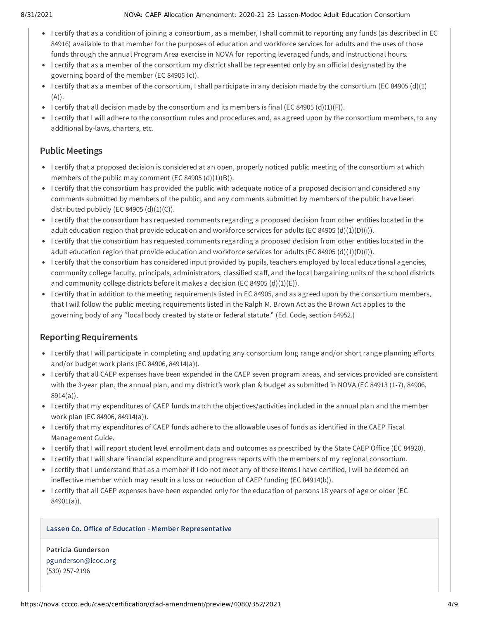#### 8/31/2021 NOVA: CAEP Allocation Amendment: 2020-21 25 Lassen-Modoc Adult Education Consortium

- I certify that as a condition of joining a consortium, as a member, I shall commit to reporting any funds (as described in EC 84916) available to that member for the purposes of education and workforce services for adults and the uses of those funds through the annual Program Area exercise in NOVA for reporting leveraged funds, and instructional hours.
- I certify that as a member of the consortium my district shall be represented only by an official designated by the governing board of the member (EC 84905 (c)).
- I certify that as a member of the consortium, I shall participate in any decision made by the consortium (EC 84905 (d)(1)  $(A)$ ).
- I certify that all decision made by the consortium and its members is final (EC 84905 (d)(1)(F)).
- I certify that I will adhere to the consortium rules and procedures and, as agreed upon by the consortium members, to any additional by-laws, charters, etc.

## **Public Meetings**

- I certify that a proposed decision is considered at an open, properly noticed public meeting of the consortium at which members of the public may comment (EC 84905  $(d)(1)(B)$ ).
- I certify that the consortium has provided the public with adequate notice of a proposed decision and considered any comments submitted by members of the public, and any comments submitted by members of the public have been distributed publicly (EC 84905  $(d)(1)(C)$ ).
- I certify that the consortium has requested comments regarding a proposed decision from other entities located in the adult education region that provide education and workforce services for adults (EC 84905 (d)(1)(D)(i)).
- I certify that the consortium has requested comments regarding a proposed decision from other entities located in the adult education region that provide education and workforce services for adults (EC 84905 (d)(1)(D)(i)).
- I certify that the consortium has considered input provided by pupils, teachers employed by local educational agencies, community college faculty, principals, administrators, classified staff, and the local bargaining units of the school districts and community college districts before it makes a decision (EC 84905 (d)(1)(E)).
- I certify that in addition to the meeting requirements listed in EC 84905, and as agreed upon by the consortium members, that I will follow the public meeting requirements listed in the Ralph M. Brown Act as the Brown Act applies to the governing body of any "local body created by state or federal statute." (Ed. Code, section 54952.)

## **Reporting Requirements**

- I certify that I will participate in completing and updating any consortium long range and/or short range planning efforts and/or budget work plans (EC 84906, 84914(a)).
- I certify that all CAEP expenses have been expended in the CAEP seven program areas, and services provided are consistent with the 3-year plan, the annual plan, and my district's work plan & budget as submitted in NOVA (EC 84913 (1-7), 84906, 8914(a)).
- I certify that my expenditures of CAEP funds match the objectives/activities included in the annual plan and the member work plan (EC 84906, 84914(a)).
- I certify that my expenditures of CAEP funds adhere to the allowable uses of funds as identified in the CAEP Fiscal Management Guide.
- I certify that I will report student level enrollment data and outcomes as prescribed by the State CAEP Office (EC 84920).
- I certify that I will share financial expenditure and progress reports with the members of my regional consortium.
- I certify that I understand that as a member if I do not meet any of these items I have certified, I will be deemed an ineffective member which may result in a loss or reduction of CAEP funding (EC 84914(b)).
- I certify that all CAEP expenses have been expended only for the education of persons 18 years of age or older (EC 84901(a)).

### **Lassen Co. Office of Education - Member Representative**

**Patricia Gunderson** [pgunderson@lcoe.org](mailto:pgunderson@lcoe.org) (530) 257-2196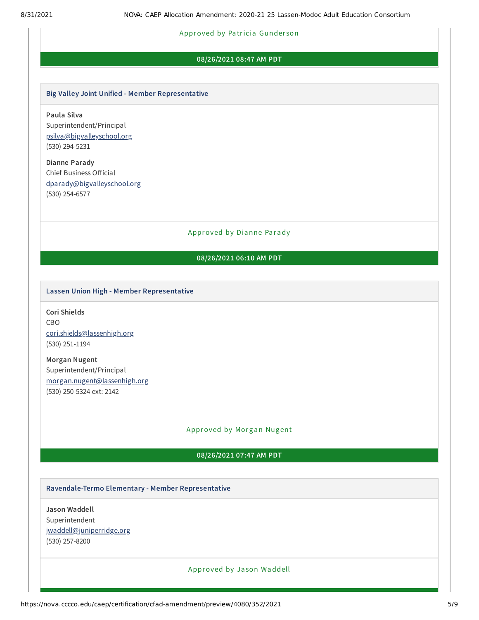#### Approved by Pa tricia Gunder son

#### **08/26/2021 08:47 AM PDT**

#### **Big Valley Joint Unified - Member Representative**

**Paula Silva** Superintendent/Principal [psilva@bigvalleyschool.org](mailto:psilva@bigvalleyschool.org) (530) 294-5231

**Dianne Parady** Chief Business Official [dparady@bigvalleyschool.org](mailto:dparady@bigvalleyschool.org) (530) 254-6577

#### Approved by Dianne Parady

### **08/26/2021 06:10 AM PDT**

#### **Lassen Union High - Member Representative**

**Cori Shields** CBO [cori.shields@lassenhigh.org](mailto:cori.shields@lassenhigh.org) (530) 251-1194

**Morgan Nugent** Superintendent/Principal [morgan.nugent@lassenhigh.org](mailto:morgan.nugent@lassenhigh.org) (530) 250-5324 ext: 2142

#### Approved by Morgan Nugent

#### **08/26/2021 07:47 AM PDT**

#### **Ravendale-Termo Elementary - Member Representative**

**Jason Waddell** Superintendent [jwaddell@juniperridge.org](mailto:jwaddell@juniperridge.org) (530) 257-8200

#### Approved by Ja son Waddell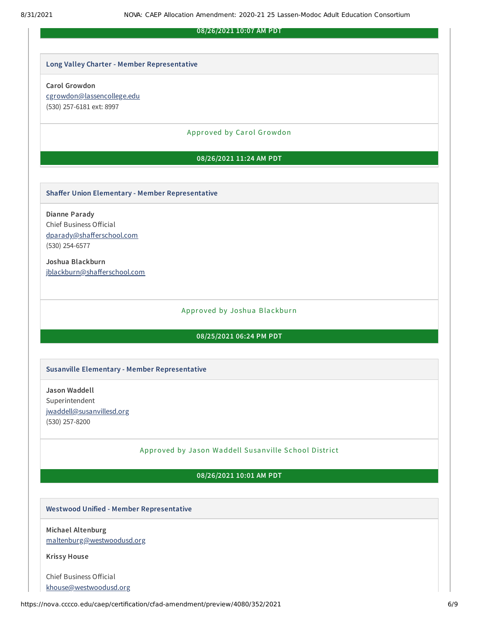#### **08/26/2021 10:07 AM PDT**

#### **Long Valley Charter - Member Representative**

#### **Carol Growdon**

[cgrowdon@lassencollege.edu](mailto:cgrowdon@lassencollege.edu) (530) 257-6181 ext: 8997

#### Approved by Carol Growdon

#### **08/26/2021 11:24 AM PDT**

#### **Shaffer Union Elementary - Member Representative**

**Dianne Parady** Chief Business Official [dparady@shafferschool.com](mailto:dparady@shafferschool.com) (530) 254-6577

**Joshua Blackburn** [jblackburn@shafferschool.com](mailto:jblackburn@shafferschool.com)

#### Approved by Joshua Blackburn

#### **08/25/2021 06:24 PM PDT**

#### **Susanville Elementary - Member Representative**

**Jason Waddell** Superintendent [jwaddell@susanvillesd.org](mailto:jwaddell@susanvillesd.org) (530) 257-8200

#### Approved by Ja son Waddell Susanville School District

#### **08/26/2021 10:01 AM PDT**

#### **Westwood Unified - Member Representative**

**Michael Altenburg** [maltenburg@westwoodusd.org](mailto:maltenburg@westwoodusd.org)

**Krissy House**

Chief Business Official [khouse@westwoodusd.org](mailto:khouse@westwoodusd.org)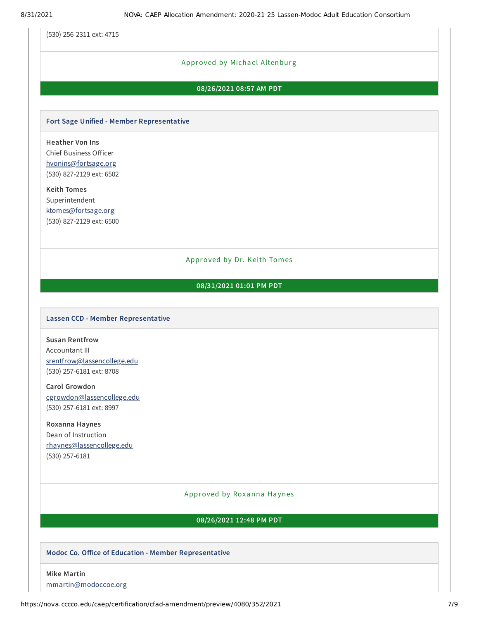(530) 256-2311 ext: 4715

#### Approved by Michael Altenburg

### **08/26/2021 08:57 AM PDT**

#### **Fort Sage Unified - Member Representative**

**Heather Von Ins** Chief Business Officer [hvonins@fortsage.org](mailto:hvonins@fortsage.org) (530) 827-2129 ext: 6502

**Keith Tomes** Superintendent [ktomes@fortsage.org](mailto:ktomes@fortsage.org) (530) 827-2129 ext: 6500

#### Approved by Dr. Keith Tomes

#### **08/31/2021 01:01 PM PDT**

#### **Lassen CCD - Member Representative**

**Susan Rentfrow** Accountant III [srentfrow@lassencollege.edu](mailto:srentfrow@lassencollege.edu) (530) 257-6181 ext: 8708

**Carol Growdon** [cgrowdon@lassencollege.edu](mailto:cgrowdon@lassencollege.edu) (530) 257-6181 ext: 8997

**Roxanna Haynes** Dean of Instruction [rhaynes@lassencollege.edu](mailto:rhaynes@lassencollege.edu) (530) 257-6181

#### Approved by Roxanna Haynes

#### **08/26/2021 12:48 PM PDT**

#### **Modoc Co. Office of Education - Member Representative**

**Mike Martin** [mmartin@modoccoe.org](mailto:mmartin@modoccoe.org)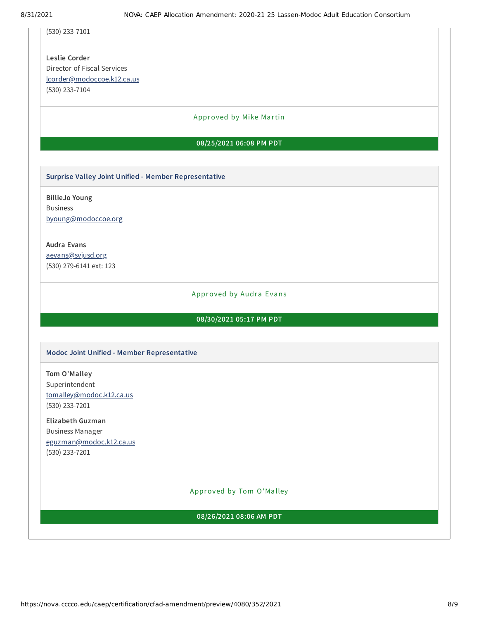(530) 233-7101

**Leslie Corder** Director of Fiscal Services [lcorder@modoccoe.k12.ca.us](mailto:lcorder@modoccoe.k12.ca.us) (530) 233-7104

#### Approved by Mike Martin

#### **08/25/2021 06:08 PM PDT**

**Surprise Valley Joint Unified - Member Representative**

**BillieJo Young** Business [byoung@modoccoe.org](mailto:byoung@modoccoe.org)

**Audra Evans** [aevans@svjusd.org](mailto:aevans@svjusd.org) (530) 279-6141 ext: 123

#### Approved by Audra Evans

#### **08/30/2021 05:17 PM PDT**

#### **Modoc Joint Unified - Member Representative**

**Tom O'Malley** Superintendent [tomalley@modoc.k12.ca.us](mailto:tomalley@modoc.k12.ca.us) (530) 233-7201

**Elizabeth Guzman** Business Manager [eguzman@modoc.k12.ca.us](mailto:eguzman@modoc.k12.ca.us) (530) 233-7201

#### Approved by Tom O'Ma lley

### **08/26/2021 08:06 AM PDT**